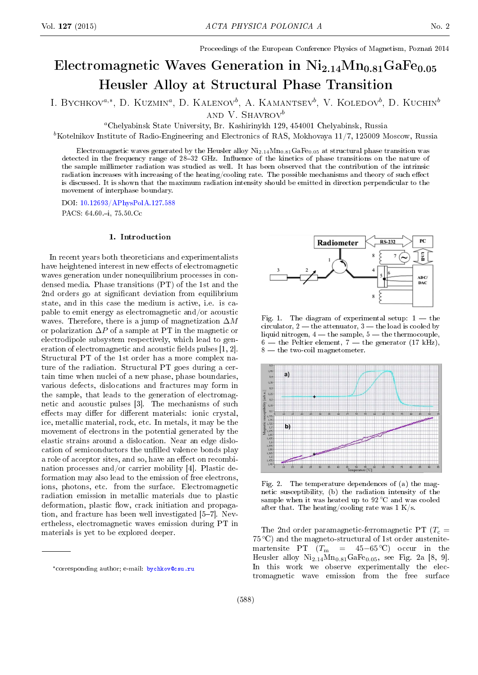Proceedings of the European Conference Physics of Magnetism, Poznań 2014

# Electromagnetic Waves Generation in  $Ni<sub>2.14</sub>Mn<sub>0.81</sub>GaFe<sub>0.05</sub>$ Heusler Alloy at Structural Phase Transition

I. BYCHKOV<sup> $a,*$ </sup>, D. Kuzmin<sup>a</sup>, D. Kalenov<sup>b</sup>, A. Kamantsev<sup>b</sup>, V. Koledov<sup>b</sup>, D. Kuchin<sup>t</sup> AND V. SHAVROV $^b$ 

<sup>a</sup>Chelyabinsk State University, Br. Kashirinykh 129, 454001 Chelyabinsk, Russia

<sup>b</sup>Kotelnikov Institute of Radio-Engineering and Electronics of RAS, Mokhovaya  $11/7$ , 125009 Moscow, Russia

Electromagnetic waves generated by the Heusler alloy  $\rm{Ni}_{2.14}Mn_{0.81}GaFe_{0.05}$  at structural phase transition was detected in the frequency range of 28-32 GHz. Influence of the kinetics of phase transitions on the nature of the sample millimeter radiation was studied as well. It has been observed that the contribution of the intrinsic radiation increases with increasing of the heating/cooling rate. The possible mechanisms and theory of such effect is discussed. It is shown that the maximum radiation intensity should be emitted in direction perpendicular to the movement of interphase boundary.

DOI: [10.12693/APhysPolA.127.588](http://dx.doi.org/10.12693/APhysPolA.127.588) PACS: 64.60.-i, 75.50.Cc

### 1. Introduction

In recent years both theoreticians and experimentalists have heightened interest in new effects of electromagnetic waves generation under nonequilibrium processes in condensed media. Phase transitions (PT) of the 1st and the 2nd orders go at significant deviation from equilibrium state, and in this case the medium is active, i.e. is capable to emit energy as electromagnetic and/or acoustic waves. Therefore, there is a jump of magnetization  $\Delta M$ or polarization  $\Delta P$  of a sample at PT in the magnetic or electrodipole subsystem respectively, which lead to generation of electromagnetic and acoustic fields pulses  $[1, 2]$ . Structural PT of the 1st order has a more complex nature of the radiation. Structural PT goes during a certain time when nuclei of a new phase, phase boundaries, various defects, dislocations and fractures may form in the sample, that leads to the generation of electromagnetic and acoustic pulses [3]. The mechanisms of such effects may differ for different materials: ionic crystal, ice, metallic material, rock, etc. In metals, it may be the movement of electrons in the potential generated by the elastic strains around a dislocation. Near an edge dislocation of semiconductors the unfilled valence bonds play a role of acceptor sites, and so, have an effect on recombination processes and/or carrier mobility [4]. Plastic deformation may also lead to the emission of free electrons, ions, photons, etc. from the surface. Electromagnetic radiation emission in metallic materials due to plastic deformation, plastic flow, crack initiation and propagation, and fracture has been well investigated  $[5-7]$ . Nevertheless, electromagnetic waves emission during PT in materials is yet to be explored deeper.



Fig. 1. The diagram of experimental setup:  $1$  – the circulator,  $2$  — the attenuator,  $3$  — the load is cooled by liquid nitrogen,  $4$  — the sample,  $5$  — the thermocouple, 6 — the Peltier element, 7 — the generator (17 kHz),  $8 -$  the two-coil magnetometer.



Fig. 2. The temperature dependences of (a) the magnetic susceptibility, (b) the radiation intensity of the sample when it was heated up to 92 °C and was cooled after that. The heating/cooling rate was 1 K/s.

The 2nd order paramagnetic-ferromagnetic PT  $(T_c =$  $75\textdegree C$ ) and the magneto-structural of 1st order austenitemartensite PT  $(T_m = 45-65 \degree C)$  occur in the Heusler alloy  $Ni_{2.14}Mn_{0.81}GaFe_{0.05}$ , see Fig. 2a [8, 9]. In this work we observe experimentally the electromagnetic wave emission from the free surface

<sup>\*</sup>corresponding author; e-mail: [bychkov@csu.ru](mailto:bychkov@csu.ru)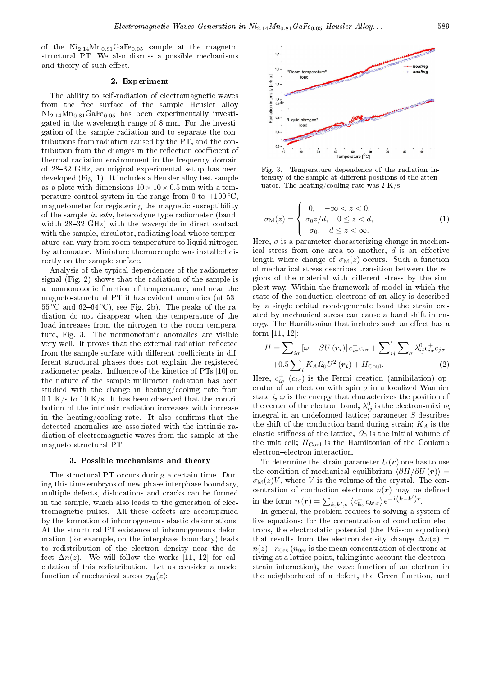of the  $Ni_{2.14}Mn_{0.81}GaFe<sub>0.05</sub>$  sample at the magnetostructural PT. We also discuss a possible mechanisms and theory of such effect.

### 2. Experiment

The ability to self-radiation of electromagnetic waves from the free surface of the sample Heusler alloy  $Ni_{2.14}Mn_{0.81}GaFe<sub>0.05</sub>$  has been experimentally investigated in the wavelength range of 8 mm. For the investigation of the sample radiation and to separate the contributions from radiation caused by the PT, and the contribution from the changes in the reflection coefficient of thermal radiation environment in the frequency-domain of 28-32 GHz, an original experimental setup has been developed (Fig. 1). It includes a Heusler alloy test sample as a plate with dimensions  $10 \times 10 \times 0.5$  mm with a temperature control system in the range from 0 to +100 $\degree$ C, magnetometer for registering the magnetic susceptibility of the sample in situ, heterodyne type radiometer (bandwidth  $28-32$  GHz) with the waveguide in direct contact with the sample, circulator, radiating load whose temperature can vary from room temperature to liquid nitrogen by attenuator. Miniature thermocouple was installed directly on the sample surface.

Analysis of the typical dependences of the radiometer signal (Fig. 2) shows that the radiation of the sample is a nonmonotonic function of temperature, and near the magneto-structural PT it has evident anomalies (at 53  $55^{\circ}$ C and  $62-64^{\circ}$ C), see Fig. 2b). The peaks of the radiation do not disappear when the temperature of the load increases from the nitrogen to the room temperature, Fig. 3. The nonmonotonic anomalies are visible very well. It proves that the external radiation reflected from the sample surface with different coefficients in different structural phases does not explain the registered radiometer peaks. Influence of the kinetics of PTs [10] on the nature of the sample millimeter radiation has been studied with the change in heating/cooling rate from 0.1 K/s to 10 K/s. It has been observed that the contribution of the intrinsic radiation increases with increase in the heating/cooling rate. It also confirms that the detected anomalies are associated with the intrinsic radiation of electromagnetic waves from the sample at the magneto-structural PT.

## 3. Possible mechanisms and theory

The structural PT occurs during a certain time. During this time embryos of new phase interphase boundary, multiple defects, dislocations and cracks can be formed in the sample, which also leads to the generation of electromagnetic pulses. All these defects are accompanied by the formation of inhomogeneous elastic deformations. At the structural PT existence of inhomogeneous deformation (for example, on the interphase boundary) leads to redistribution of the electron density near the defect  $\Delta n(z)$ . We will follow the works [11, 12] for calculation of this redistribution. Let us consider a model function of mechanical stress  $\sigma_{\text{M}}(z)$ :



Fig. 3. Temperature dependence of the radiation intensity of the sample at different positions of the attenuator. The heating/cooling rate was 2 K/s.

$$
\sigma_{\mathcal{M}}(z) = \begin{cases}\n0, & -\infty < z < 0, \\
\sigma_0 z/d, & 0 \leq z < d, \\
\sigma_0, & d \leq z < \infty.\n\end{cases}\n\tag{1}
$$

Here,  $\sigma$  is a parameter characterizing change in mechanical stress from one area to another,  $d$  is an effective length where change of  $\sigma_M(z)$  occurs. Such a function of mechanical stress describes transition between the regions of the material with different stress by the simplest way. Within the framework of model in which the state of the conduction electrons of an alloy is described by a single orbital nondegenerate band the strain created by mechanical stress can cause a band shift in energy. The Hamiltonian that includes such an effect has a form [11, 12]:

$$
H = \sum_{i\sigma} \left[\omega + SU\left(\mathbf{r}_{i}\right)\right] c_{i\sigma}^{+} c_{i\sigma} + \sum_{ij}^{\prime} \sum_{\sigma} \lambda_{ij}^{0} c_{i\sigma}^{+} c_{j\sigma}
$$

$$
+ 0.5 \sum_{i} K_{A} \Omega_{0} U^{2} \left(\mathbf{r}_{i}\right) + H_{\text{Coul}}. \tag{2}
$$

Here,  $c_{i\sigma}^{+}$  ( $c_{i\sigma}$ ) is the Fermi creation (annihilation) operator of an electron with spin  $\sigma$  in a localized Wannier state i;  $\omega$  is the energy that characterizes the position of the center of the electron band;  $\lambda_{ij}^0$  is the electron-mixing integral in an undeformed lattice; parameter S describes the shift of the conduction band during strain;  $K_A$  is the elastic stiffness of the lattice,  $\Omega_0$  is the initial volume of the unit cell;  $H_{\text{Coul}}$  is the Hamiltonian of the Coulomb electron-electron interaction.

To determine the strain parameter  $U(r)$  one has to use the condition of mechanical equilibrium  $\langle \partial H/\partial U(r)\rangle =$  $\sigma_{\text{M}}(z)V$ , where V is the volume of the crystal. The concentration of conduction electrons  $n(r)$  may be defined in the form  $n(r) = \sum_{\mathbf{k},\mathbf{k}',\sigma} \langle c_{\mathbf{k}\sigma}^+ c_{\mathbf{k}'\sigma} \rangle e^{-i(\mathbf{k}-\mathbf{k}')r}$ .

In general, the problem reduces to solving a system of five equations: for the concentration of conduction electrons, the electrostatic potential (the Poisson equation) that results from the electron-density change  $\Delta n(z)$  =  $n(z)-n_{0es}$  ( $n_{0es}$  is the mean concentration of electrons arriving at a lattice point, taking into account the electron strain interaction), the wave function of an electron in the neighborhood of a defect, the Green function, and